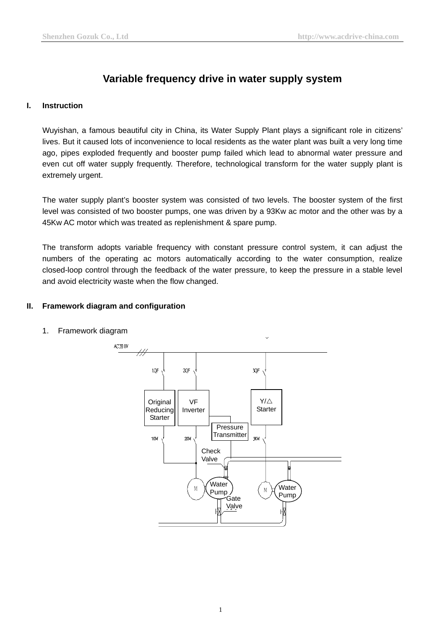# **Variable frequency drive in water supply system**

## **I. Instruction**

Wuyishan, a famous beautiful city in China, its Water Supply Plant plays a significant role in citizens' lives. But it caused lots of inconvenience to local residents as the water plant was built a very long time ago, pipes exploded frequently and booster pump failed which lead to abnormal water pressure and even cut off water supply frequently. Therefore, technological transform for the water supply plant is extremely urgent.

The water supply plant's booster system was consisted of two levels. The booster system of the first level was consisted of two booster pumps, one was driven by a 93Kw ac motor and the other was by a 45Kw AC motor which was treated as replenishment & spare pump.

The transform adopts variable frequency with constant pressure control system, it can adjust the numbers of the operating ac motors automatically according to the water consumption, realize closed-loop control through the feedback of the water pressure, to keep the pressure in a stable level and avoid electricity waste when the flow changed.

# **II. Framework diagram and configuration**



1. Framework diagram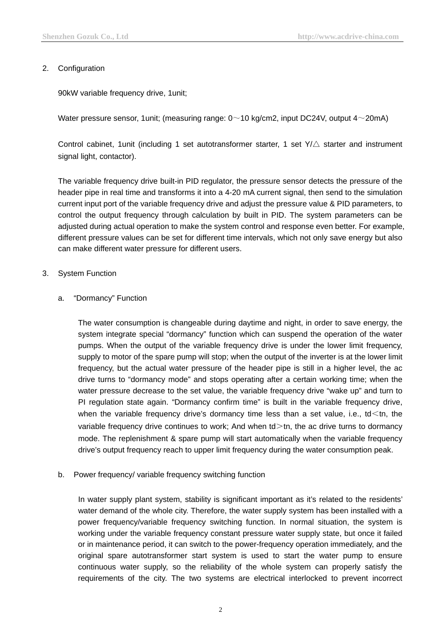## 2. Configuration

90kW variable frequency drive, 1unit;

Water pressure sensor, 1 unit; (measuring range:  $0 \sim 10$  kg/cm2, input DC24V, output  $4 \sim 20$ mA)

Control cabinet, 1 unit (including 1 set autotransformer starter, 1 set  $Y/\triangle$  starter and instrument signal light, contactor).

The [variable frequency drive](http://www.acdrive-china.com/products/variable-frequency-drive-manufacturer-1261.htm) built-in PID regulator, the pressure sensor detects the pressure of the header pipe in real time and transforms it into a 4-20 mA current signal, then send to the simulation current input port of the variable frequency drive and adjust the pressure value & PID parameters, to control the output frequency through calculation by built in PID. The system parameters can be adjusted during actual operation to make the system control and response even better. For example, different pressure values can be set for different time intervals, which not only save energy but also can make different water pressure for different users.

## 3. System Function

## a. "Dormancy" Function

The water consumption is changeable during daytime and night, in order to save energy, the system integrate special "dormancy" function which can suspend the operation of the water pumps. When the output of the [variable frequency](http://www.acdrive-china.com/products/variable-frequency-drive-manufacturer-1261.htm) drive is under the lower limit frequency, supply to motor of the spare pump will stop; when the output of the inverter is at the lower limit frequency, but the actual water pressure of the header pipe is still in a higher level, the [ac](http://www.acdrive-china.com/) [drive](http://www.acdrive-china.com/) turns to "dormancy mode" and stops operating after a certain working time; when the water pressure decrease to the set value, the [variable frequency drive](http://www.acdrive-china.com/products/variable-frequency-drive-manufacturer-1261.htm) "wake up" and turn to PI regulation state again. "Dormancy confirm time" is built in the variable frequency drive, when the variable frequency drive's dormancy time less than a set value, i.e.,  $\text{td}$  < the variable frequency [drive](http://www.acdrive-china.com/) continues to work; And when  $\text{td}$  >th, the ac drive turns to dormancy mode. The replenishment & spare pump will start automatically when the variable frequency drive's output frequency reach to upper limit frequency during the water consumption peak.

b. Power frequency/ variable frequency switching function

In water supply plant system, stability is significant important as it's related to the residents' water demand of the whole city. Therefore, the water supply system has been installed with a power frequency/variable frequency switching function. In normal situation, the system is working under the variable frequency constant pressure water supply state, but once it failed or in maintenance period, it can switch to the power-frequency operation immediately, and the original spare autotransformer start system is used to start the water pump to ensure continuous water supply, so the reliability of the whole system can properly satisfy the requirements of the city. The two systems are electrical interlocked to prevent incorrect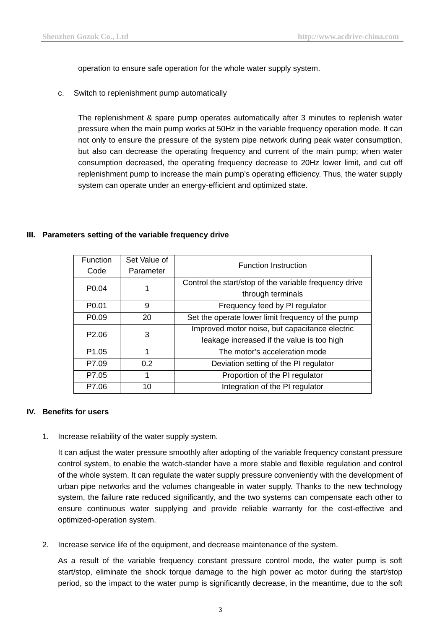operation to ensure safe operation for the whole water supply system.

c. Switch to replenishment pump automatically

The replenishment & spare pump operates automatically after 3 minutes to replenish water pressure when the main pump works at 50Hz in the variable frequency operation mode. It can not only to ensure the pressure of the system pipe network during peak water consumption, but also can decrease the operating frequency and current of the main pump; when water consumption decreased, the operating frequency decrease to 20Hz lower limit, and cut off replenishment pump to increase the main pump's operating efficiency. Thus, the water supply system can operate under an energy-efficient and optimized state.

#### **III. Parameters setting of the [variable frequency drive](http://www.acdrive-china.com/products/variable-frequency-drive-manufacturer-1261.htm)**

| <b>Function</b>   | Set Value of | <b>Function Instruction</b>                            |
|-------------------|--------------|--------------------------------------------------------|
| Code              | Parameter    |                                                        |
| P <sub>0.04</sub> |              | Control the start/stop of the variable frequency drive |
|                   |              | through terminals                                      |
| P <sub>0.01</sub> | 9            | Frequency feed by PI regulator                         |
| P <sub>0.09</sub> | 20           | Set the operate lower limit frequency of the pump      |
| P <sub>2.06</sub> | 3            | Improved motor noise, but capacitance electric         |
|                   |              | leakage increased if the value is too high             |
| P <sub>1.05</sub> | 1            | The motor's acceleration mode                          |
| P7.09             | 0.2          | Deviation setting of the PI regulator                  |
| P7.05             | 1            | Proportion of the PI regulator                         |
| P7.06             | 10           | Integration of the PI regulator                        |

#### **IV. Benefits for users**

1. Increase reliability of the water supply system.

It can adjust the water pressure smoothly after adopting of the variable frequency constant pressure control system, to enable the watch-stander have a more stable and flexible regulation and control of the whole system. It can regulate the water supply pressure conveniently with the development of urban pipe networks and the volumes changeable in water supply. Thanks to the new technology system, the failure rate reduced significantly, and the two systems can compensate each other to ensure continuous water supplying and provide reliable warranty for the cost-effective and optimized-operation system.

2. Increase service life of the equipment, and decrease maintenance of the system.

As a result of the variable frequency constant pressure control mode, the water pump is soft start/stop, eliminate the shock torque damage to the high power ac motor during the start/stop period, so the impact to the water pump is significantly decrease, in the meantime, due to the soft